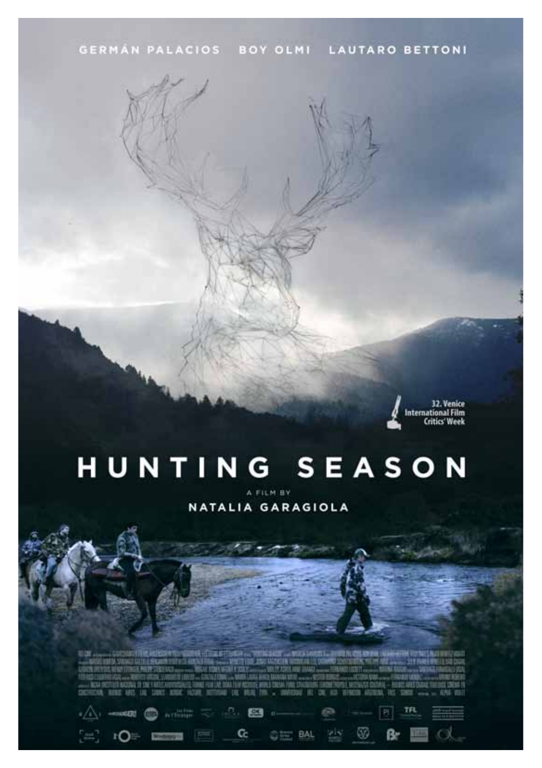32. Venice **International Film Critics' Week** 

# HUNTING SEASON

A FILM BY NATALIA GARAGIOLA

**HANNEL RISS AND IN** 课 ×  $-113$ 

BAL

67

**CCB** 

Cc

-match

łО

**Activities**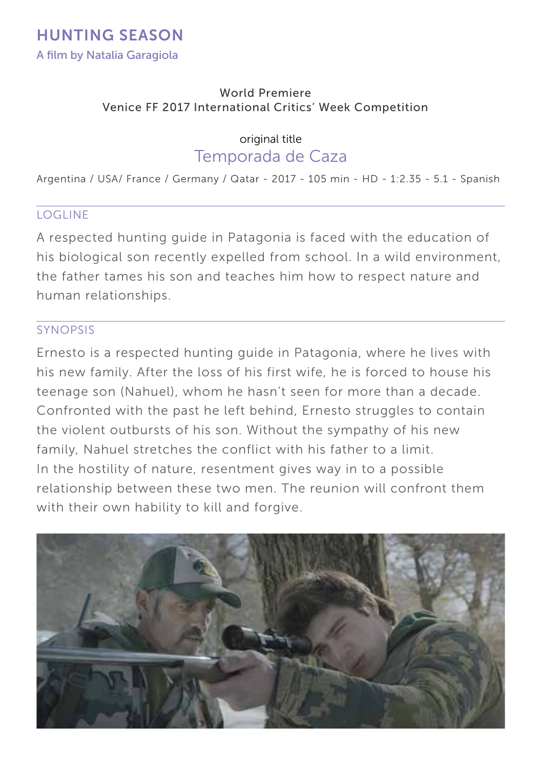#### World Premiere Venice FF 2017 International Critics' Week Competition

original title

## Temporada de Caza

Argentina / USA/ France / Germany / Qatar - 2017 - 105 min - HD - 1:2.35 - 5.1 - Spanish

## LOGLINE

A respected hunting guide in Patagonia is faced with the education of his biological son recently expelled from school. In a wild environment, the father tames his son and teaches him how to respect nature and human relationships.

## SYNOPSIS

Ernesto is a respected hunting guide in Patagonia, where he lives with his new family. After the loss of his first wife, he is forced to house his teenage son (Nahuel), whom he hasn't seen for more than a decade. Confronted with the past he left behind, Ernesto struggles to contain the violent outbursts of his son. Without the sympathy of his new family, Nahuel stretches the conflict with his father to a limit. In the hostility of nature, resentment gives way in to a possible relationship between these two men. The reunion will confront them with their own hability to kill and forgive.

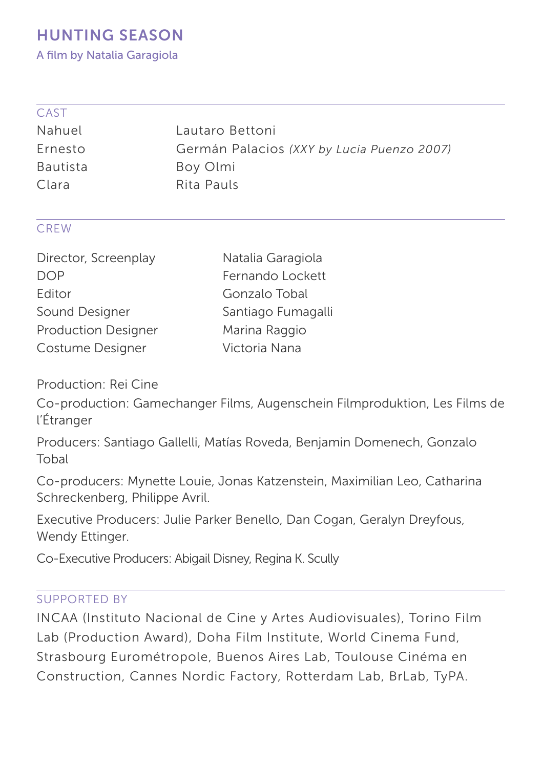A film by Natalia Garagiola

|                                                        | . . |
|--------------------------------------------------------|-----|
| ×<br>-<br>×<br>×<br>and the contract of the con-<br>__ |     |

| Germán Palacios (XXY by Lucia Puenzo 2007) |
|--------------------------------------------|
|                                            |
|                                            |
|                                            |

## CREW

| Director, Screenplay       | Natalia Garagiola  |
|----------------------------|--------------------|
| DOP                        | Fernando Lockett   |
| Editor                     | Gonzalo Tobal      |
| Sound Designer             | Santiago Fumagalli |
| <b>Production Designer</b> | Marina Raggio      |
| Costume Designer           | Victoria Nana      |

Production: Rei Cine

Co-production: Gamechanger Films, Augenschein Filmproduktion, Les Films de l'Étranger

Producers: Santiago Gallelli, Matías Roveda, Benjamin Domenech, Gonzalo Tobal

Co-producers: Mynette Louie, Jonas Katzenstein, Maximilian Leo, Catharina Schreckenberg, Philippe Avril.

Executive Producers: Julie Parker Benello, Dan Cogan, Geralyn Dreyfous, Wendy Ettinger.

Co-Executive Producers: Abigail Disney, Regina K. Scully

#### SUPPORTED BY

INCAA (Instituto Nacional de Cine y Artes Audiovisuales), Torino Film Lab (Production Award), Doha Film Institute, World Cinema Fund, Strasbourg Eurométropole, Buenos Aires Lab, Toulouse Cinéma en Construction, Cannes Nordic Factory, Rotterdam Lab, BrLab, TyPA.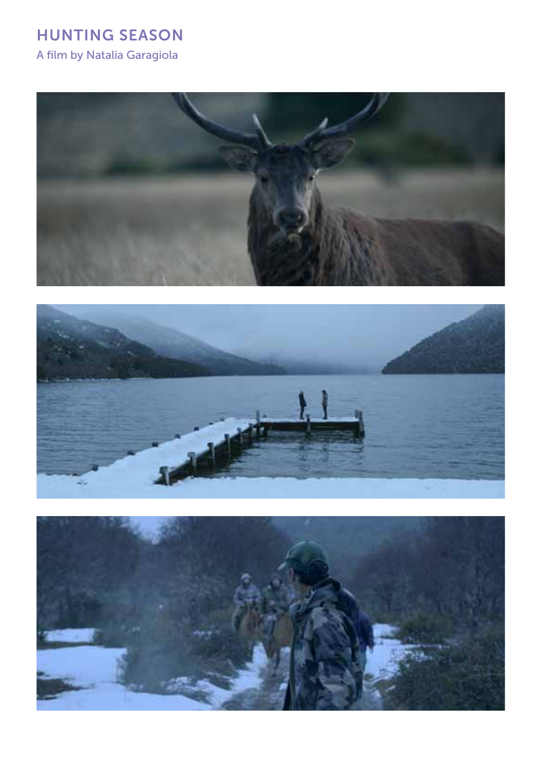A film by Natalia Garagiola





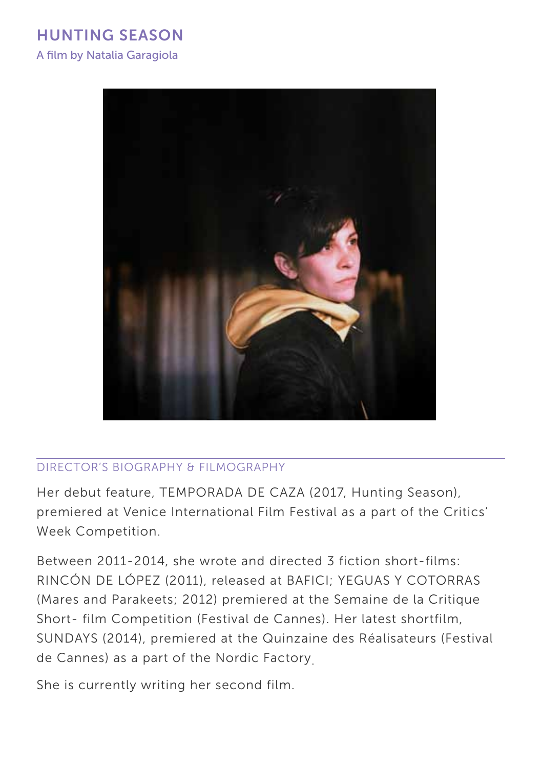A film by Natalia Garagiola



## Director's BIOGRAPHY & FILMOGRAPHY

Her debut feature, TEMPORADA DE CAZA (2017, Hunting Season), premiered at Venice International Film Festival as a part of the Critics' Week Competition.

Between 2011-2014, she wrote and directed 3 fiction short-films: RINCÓN DE LÓPEZ (2011), released at BAFICI; YEGUAS Y COTORRAS (Mares and Parakeets; 2012) premiered at the Semaine de la Critique Short- film Competition (Festival de Cannes). Her latest shortfilm, SUNDAYS (2014), premiered at the Quinzaine des Réalisateurs (Festival de Cannes) as a part of the Nordic Factory.

She is currently writing her second film.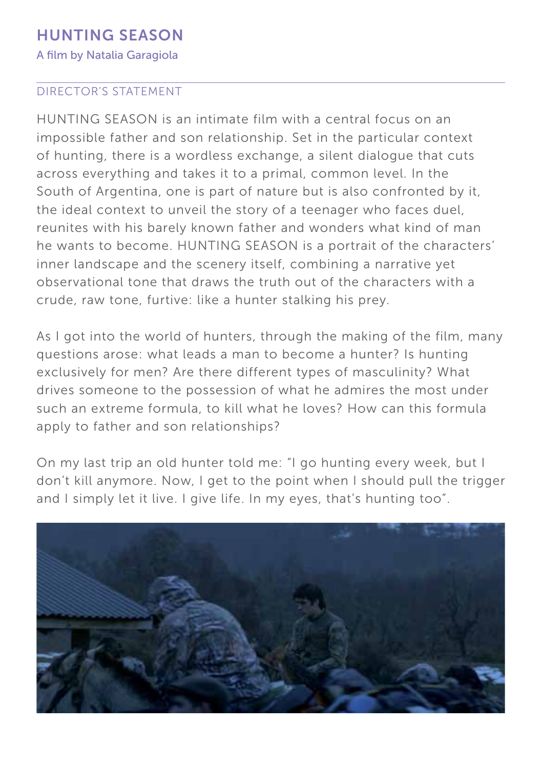A film by Natalia Garagiola

## Director's STATEMENT

HUNTING SEASON is an intimate film with a central focus on an impossible father and son relationship. Set in the particular context of hunting, there is a wordless exchange, a silent dialogue that cuts across everything and takes it to a primal, common level. In the South of Argentina, one is part of nature but is also confronted by it, the ideal context to unveil the story of a teenager who faces duel, reunites with his barely known father and wonders what kind of man he wants to become. HUNTING SEASON is a portrait of the characters' inner landscape and the scenery itself, combining a narrative yet observational tone that draws the truth out of the characters with a crude, raw tone, furtive: like a hunter stalking his prey.

As I got into the world of hunters, through the making of the film, many questions arose: what leads a man to become a hunter? Is hunting exclusively for men? Are there different types of masculinity? What drives someone to the possession of what he admires the most under such an extreme formula, to kill what he loves? How can this formula apply to father and son relationships?

On my last trip an old hunter told me: "I go hunting every week, but I don't kill anymore. Now, I get to the point when I should pull the trigger and I simply let it live. I give life. In my eyes, that's hunting too".

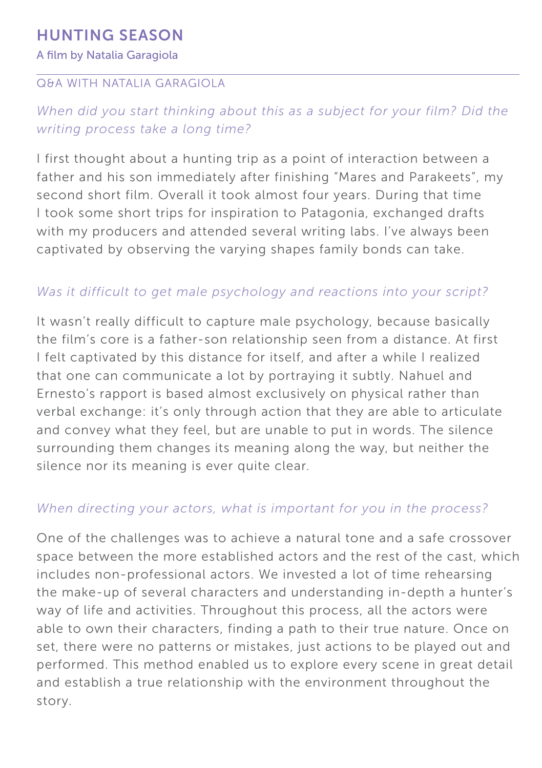#### A film by Natalia Garagiola

## Q&A with NATALIA GARAGIOLA

## *When did you start thinking about this as a subject for your film? Did the writing process take a long time?*

I first thought about a hunting trip as a point of interaction between a father and his son immediately after finishing "Mares and Parakeets", my second short film. Overall it took almost four years. During that time I took some short trips for inspiration to Patagonia, exchanged drafts with my producers and attended several writing labs. I've always been captivated by observing the varying shapes family bonds can take.

## *Was it difficult to get male psychology and reactions into your script?*

It wasn't really difficult to capture male psychology, because basically the film's core is a father-son relationship seen from a distance. At first I felt captivated by this distance for itself, and after a while I realized that one can communicate a lot by portraying it subtly. Nahuel and Ernesto's rapport is based almost exclusively on physical rather than verbal exchange: it's only through action that they are able to articulate and convey what they feel, but are unable to put in words. The silence surrounding them changes its meaning along the way, but neither the silence nor its meaning is ever quite clear.

## *When directing your actors, what is important for you in the process?*

One of the challenges was to achieve a natural tone and a safe crossover space between the more established actors and the rest of the cast, which includes non-professional actors. We invested a lot of time rehearsing the make-up of several characters and understanding in-depth a hunter's way of life and activities. Throughout this process, all the actors were able to own their characters, finding a path to their true nature. Once on set, there were no patterns or mistakes, just actions to be played out and performed. This method enabled us to explore every scene in great detail and establish a true relationship with the environment throughout the story.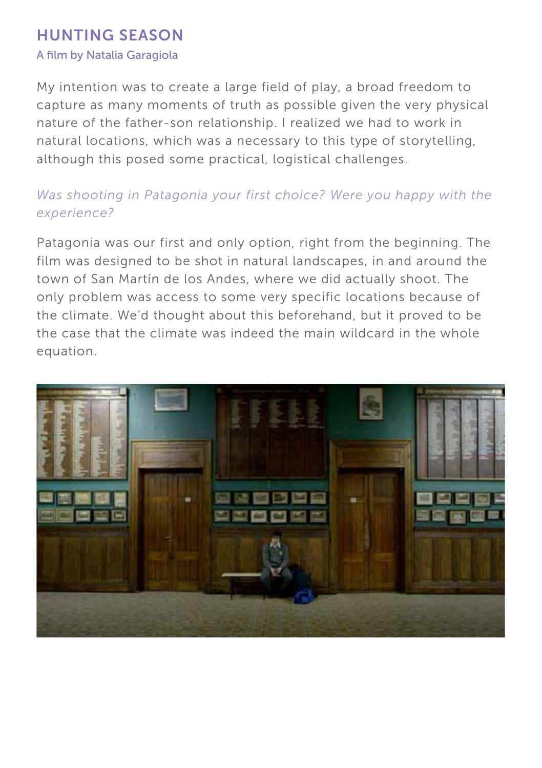#### A film by Natalia Garagiola

My intention was to create a large field of play, a broad freedom to capture as many moments of truth as possible given the very physical nature of the father-son relationship. I realized we had to work in natural locations, which was a necessary to this type of storytelling, although this posed some practical, logistical challenges.

## *Was shooting in Patagonia your first choice? Were you happy with the experience?*

Patagonia was our first and only option, right from the beginning. The film was designed to be shot in natural landscapes, in and around the town of San Martín de los Andes, where we did actually shoot. The only problem was access to some very specific locations because of the climate. We'd thought about this beforehand, but it proved to be the case that the climate was indeed the main wildcard in the whole equation.

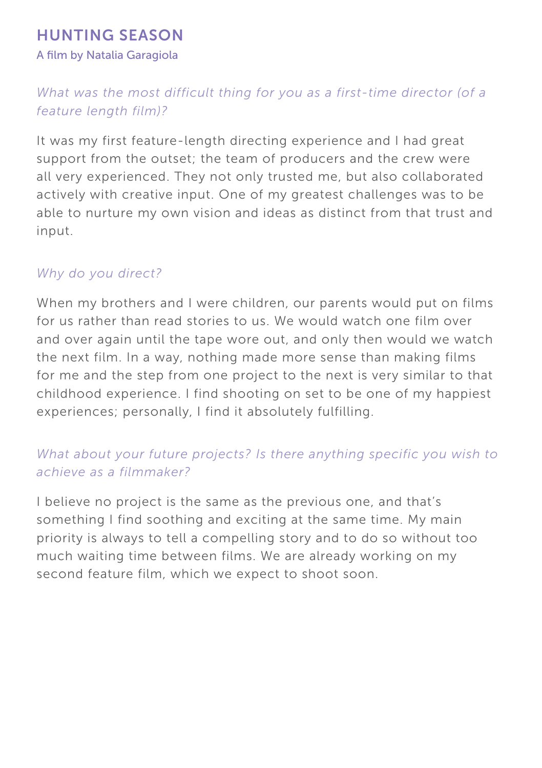A film by Natalia Garagiola

## *What was the most difficult thing for you as a first-time director (of a feature length film)?*

It was my first feature-length directing experience and I had great support from the outset; the team of producers and the crew were all very experienced. They not only trusted me, but also collaborated actively with creative input. One of my greatest challenges was to be able to nurture my own vision and ideas as distinct from that trust and input.

## *Why do you direct?*

When my brothers and I were children, our parents would put on films for us rather than read stories to us. We would watch one film over and over again until the tape wore out, and only then would we watch the next film. In a way, nothing made more sense than making films for me and the step from one project to the next is very similar to that childhood experience. I find shooting on set to be one of my happiest experiences; personally, I find it absolutely fulfilling.

## *What about your future projects? Is there anything specific you wish to achieve as a filmmaker?*

I believe no project is the same as the previous one, and that's something I find soothing and exciting at the same time. My main priority is always to tell a compelling story and to do so without too much waiting time between films. We are already working on my second feature film, which we expect to shoot soon.